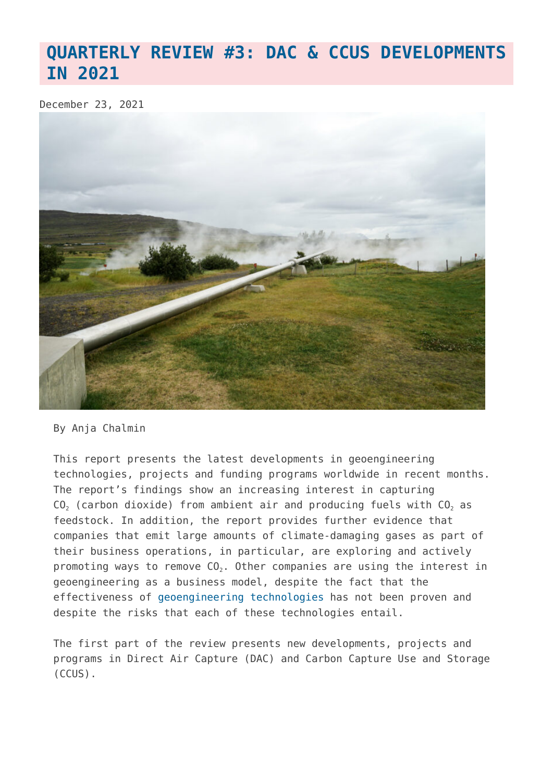# **[QUARTERLY REVIEW #3: DAC & CCUS DEVELOPMENTS](https://www.geoengineeringmonitor.org/2021/12/quarterly-review-3-geoengineering-developments-in-2021/) [IN 2021](https://www.geoengineeringmonitor.org/2021/12/quarterly-review-3-geoengineering-developments-in-2021/)**

December 23, 2021



## By Anja Chalmin

This report presents the latest developments in geoengineering technologies, projects and funding programs worldwide in recent months. The report's findings show an increasing interest in capturing  $CO<sub>2</sub>$  (carbon dioxide) from ambient air and producing fuels with  $CO<sub>2</sub>$  as feedstock. In addition, the report provides further evidence that companies that emit large amounts of climate-damaging gases as part of their business operations, in particular, are exploring and actively promoting ways to remove  $CO<sub>2</sub>$ . Other companies are using the interest in geoengineering as a business model, despite the fact that the effectiveness of [geoengineering technologies](https://www.geoengineeringmonitor.org/what-is-geoengineering/) has not been proven and despite the risks that each of these technologies entail.

The first part of the review presents new developments, projects and programs in Direct Air Capture (DAC) and Carbon Capture Use and Storage (CCUS).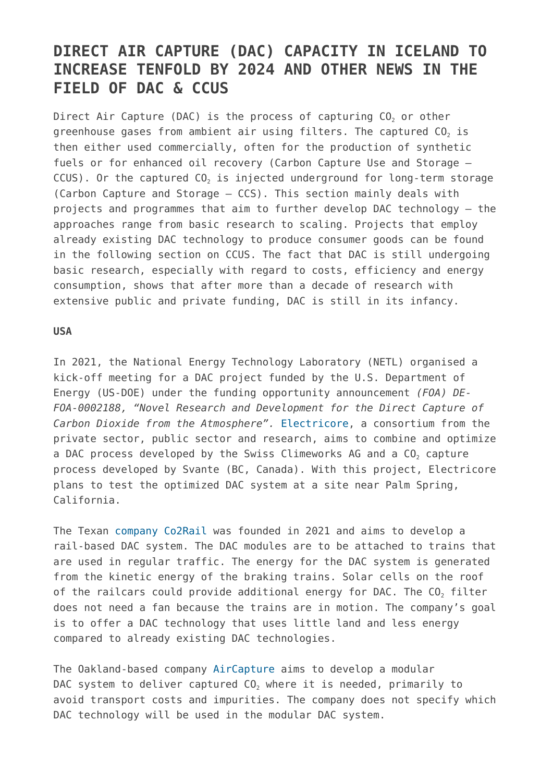## **DIRECT AIR CAPTURE (DAC) CAPACITY IN ICELAND TO INCREASE TENFOLD BY 2024 AND OTHER NEWS IN THE FIELD OF DAC & CCUS**

Direct Air Capture (DAC) is the process of capturing  $CO<sub>2</sub>$  or other greenhouse gases from ambient air using filters. The captured  $CO<sub>2</sub>$  is then either used commercially, often for the production of synthetic fuels or for enhanced oil recovery (Carbon Capture Use and Storage –  $CCUS$ ). Or the captured  $CO<sub>2</sub>$  is injected underground for long-term storage (Carbon Capture and Storage – CCS). This section mainly deals with projects and programmes that aim to further develop DAC technology – the approaches range from basic research to scaling. Projects that employ already existing DAC technology to produce consumer goods can be found in the following section on CCUS. The fact that DAC is still undergoing basic research, especially with regard to costs, efficiency and energy consumption, shows that after more than a decade of research with extensive public and private funding, DAC is still in its infancy.

### **USA**

In 2021, the National Energy Technology Laboratory (NETL) organised a kick-off meeting for a DAC project funded by the U.S. Department of Energy (US-DOE) under the funding opportunity announcement *(FOA) DE-FOA-0002188, "Novel Research and Development for the Direct Capture of Carbon Dioxide from the Atmosphere".* [Electricore](https://map.geoengineeringmonitor.org/other/u-s-federal-funding-for-dac-electricore), a consortium from the private sector, public sector and research, aims to combine and optimize a DAC process developed by the Swiss Climeworks AG and a CO<sub>2</sub> capture process developed by Svante (BC, Canada). With this project, Electricore plans to test the optimized DAC system at a site near Palm Spring, California.

The Texan [company Co2Rail](https://map.geoengineeringmonitor.org/ggr/co2rail-company) was founded in 2021 and aims to develop a rail-based DAC system. The DAC modules are to be attached to trains that are used in regular traffic. The energy for the DAC system is generated from the kinetic energy of the braking trains. Solar cells on the roof of the railcars could provide additional energy for DAC. The  $CO<sub>2</sub>$  filter does not need a fan because the trains are in motion. The company's goal is to offer a DAC technology that uses little land and less energy compared to already existing DAC technologies.

The Oakland-based company [AirCapture](https://map.geoengineeringmonitor.org/ggr/aircapture) aims to develop a modular DAC system to deliver captured  $CO<sub>2</sub>$  where it is needed, primarily to avoid transport costs and impurities. The company does not specify which DAC technology will be used in the modular DAC system.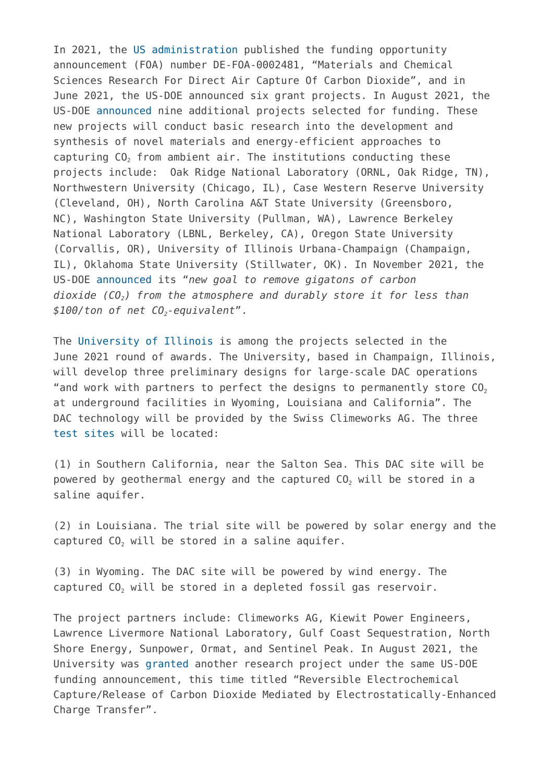In 2021, the [US administration](https://map.geoengineeringmonitor.org/other/us-doe-federal-funding-for-dac-(2021-funding-round)) published the funding opportunity announcement (FOA) number DE-FOA-0002481, "Materials and Chemical Sciences Research For Direct Air Capture Of Carbon Dioxide", and in June 2021, the US-DOE announced six grant projects. In August 2021, the US-DOE [announced](https://science.osti.gov/-/media/bes/pdf/Funding/2021/FY2021_DAC_Awards_20210722.pdf?la=en&hash=253EEF11CC4CB90ED26DE3B721210DD90668F2B9%20,%20https://blogs.illinois.edu/view/7447/209089630) nine additional projects selected for funding. These new projects will conduct basic research into the development and synthesis of novel materials and energy-efficient approaches to capturing CO<sub>2</sub> from ambient air. The institutions conducting these projects include: Oak Ridge National Laboratory (ORNL, Oak Ridge, TN), Northwestern University (Chicago, IL), Case Western Reserve University (Cleveland, OH), North Carolina A&T State University (Greensboro, NC), Washington State University (Pullman, WA), Lawrence Berkeley National Laboratory (LBNL, Berkeley, CA), Oregon State University (Corvallis, OR), University of Illinois Urbana-Champaign (Champaign, IL), Oklahoma State University (Stillwater, OK). In November 2021, the US-DOE [announced](https://www.energy.gov/articles/secretary-granholm-launches-carbon-negative-earthshots-remove-gigatons-carbon-pollution) its "*new goal to remove gigatons of carbon dioxide (CO2) from the atmosphere and durably store it for less than \$100/ton of net CO2-equivalent*".

The [University of Illinois](https://map.geoengineeringmonitor.org/other/university-of-illinois-) is among the projects selected in the June 2021 round of awards. The University, based in Champaign, Illinois, will develop three preliminary designs for large-scale DAC operations "and work with partners to perfect the designs to permanently store  $C_0$ , at underground facilities in Wyoming, Louisiana and California". The DAC technology will be provided by the Swiss Climeworks AG. The three [test sites](https://indiaeducationdiary.in/university-of-illinois-istc-led-team-to-design-large-scale-system-for-direct-air-capture-and-storage-of-carbon-dioxide-in-the-u-s/) will be located:

(1) in Southern California, near the Salton Sea. This DAC site will be powered by geothermal energy and the captured  $CO<sub>2</sub>$  will be stored in a saline aquifer.

(2) in Louisiana. The trial site will be powered by solar energy and the captured  $CO<sub>2</sub>$  will be stored in a saline aquifer.

(3) in Wyoming. The DAC site will be powered by wind energy. The captured  $CO<sub>2</sub>$  will be stored in a depleted fossil gas reservoir.

The project partners include: Climeworks AG, Kiewit Power Engineers, Lawrence Livermore National Laboratory, Gulf Coast Sequestration, North Shore Energy, Sunpower, Ormat, and Sentinel Peak. In August 2021, the University was [granted](https://science.osti.gov/-/media/bes/pdf/Funding/2021/FY2021_DAC_Awards_20210722.pdf?la=en&hash=253EEF11CC4CB90ED26DE3B721210DD90668F2B9%20,%20https://blogs.illinois.edu/view/7447/209089630) another research project under the same US-DOE funding announcement, this time titled "Reversible Electrochemical Capture/Release of Carbon Dioxide Mediated by Electrostatically-Enhanced Charge Transfer".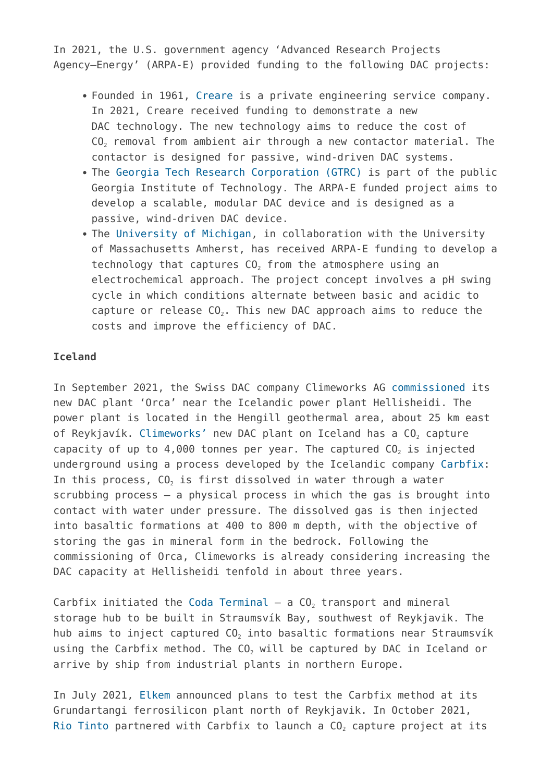In 2021, the U.S. government agency 'Advanced Research Projects Agency–Energy' (ARPA-E) provided funding to the following DAC projects:

- Founded in 1961, [Creare](https://map.geoengineeringmonitor.org/other/creare) is a private engineering service company. In 2021, Creare received funding to demonstrate a new DAC technology. The new technology aims to reduce the cost of CO<sub>2</sub> removal from ambient air through a new contactor material. The contactor is designed for passive, wind-driven DAC systems.
- The [Georgia Tech Research Corporation \(GTRC\)](https://map.geoengineeringmonitor.org/other/georgia-tech-research-corp-) is part of the public Georgia Institute of Technology. The ARPA-E funded project aims to develop a scalable, modular DAC device and is designed as a passive, wind-driven DAC device.
- The [University of Michigan,](https://map.geoengineeringmonitor.org/other/university-of-michigan) in collaboration with the University of Massachusetts Amherst, has received ARPA-E funding to develop a technology that captures  $CO<sub>2</sub>$  from the atmosphere using an electrochemical approach. The project concept involves a pH swing cycle in which conditions alternate between basic and acidic to capture or release  $CO<sub>2</sub>$ . This new DAC approach aims to reduce the costs and improve the efficiency of DAC.

## **Iceland**

In September 2021, the Swiss DAC company Climeworks AG [commissioned](https://www.geoengineeringmonitor.org/2021/10/carbfix-and-climeworks-large-scale-plans-to-capture-co2-and-inject-it-into-basalt-formations-in-iceland-involve-high-consumption-of-scarce-resources-and-potential-risks/) its new DAC plant 'Orca' near the Icelandic power plant Hellisheidi. The power plant is located in the Hengill geothermal area, about 25 km east of Reykjavík. [Climeworks'](https://map.geoengineeringmonitor.org/ggr/climeworks-ag) new DAC plant on Iceland has a CO<sub>2</sub> capture capacity of up to  $4,000$  tonnes per year. The captured  $CO<sub>2</sub>$  is injected underground using a process developed by the Icelandic company [Carbfix](https://map.geoengineeringmonitor.org/other/carbfix-carbfix-2-projects): In this process,  $CO<sub>2</sub>$  is first dissolved in water through a water scrubbing process – a physical process in which the gas is brought into contact with water under pressure. The dissolved gas is then injected into basaltic formations at 400 to 800 m depth, with the objective of storing the gas in mineral form in the bedrock. Following the commissioning of Orca, Climeworks is already considering increasing the DAC capacity at Hellisheidi tenfold in about three years.

Carbfix initiated the [Coda Terminal](https://map.geoengineeringmonitor.org/ggr/coda-terminal)  $-$  a CO<sub>2</sub> transport and mineral storage hub to be built in Straumsvík Bay, southwest of Reykjavik. The hub aims to inject captured  $CO<sub>2</sub>$  into basaltic formations near Straumsvík using the Carbfix method. The CO<sub>2</sub> will be captured by DAC in Iceland or arrive by ship from industrial plants in northern Europe.

In July 2021, [Elkem](https://map.geoengineeringmonitor.org/ggr/grundartangi-plant) announced plans to test the Carbfix method at its Grundartangi ferrosilicon plant north of Reykjavik. In October 2021, [Rio Tinto](https://map.geoengineeringmonitor.org/ggr/rio-tinto-smelter) partnered with Carbfix to launch a  $CO<sub>2</sub>$  capture project at its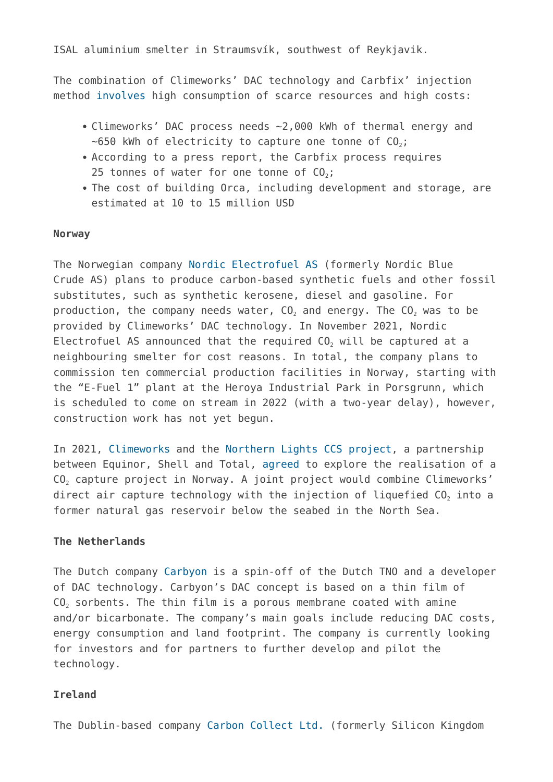ISAL aluminium smelter in Straumsvík, southwest of Reykjavik.

The combination of Climeworks' DAC technology and Carbfix' injection method [involves](https://www.geoengineeringmonitor.org/2021/10/carbfix-and-climeworks-large-scale-plans-to-capture-co2-and-inject-it-into-basalt-formations-in-iceland-involve-high-consumption-of-scarce-resources-and-potential-risks/) high consumption of scarce resources and high costs:

- Climeworks' DAC process needs ~2,000 kWh of thermal energy and  $\sim$ 650 kWh of electricity to capture one tonne of CO<sub>2</sub>;
- According to a press report, the Carbfix process requires 25 tonnes of water for one tonne of  $CO<sub>2</sub>$ ;
- The cost of building Orca, including development and storage, are estimated at 10 to 15 million USD

#### **Norway**

The Norwegian company [Nordic Electrofuel AS](https://map.geoengineeringmonitor.org/ggr/nordic-electrofuel-as-(former-nordic-blue-crude-as)) (formerly Nordic Blue Crude AS) plans to produce carbon-based synthetic fuels and other fossil substitutes, such as synthetic kerosene, diesel and gasoline. For production, the company needs water,  $CO<sub>2</sub>$  and energy. The  $CO<sub>2</sub>$  was to be provided by Climeworks' DAC technology. In November 2021, Nordic Electrofuel AS announced that the required  $CO<sub>2</sub>$  will be captured at a neighbouring smelter for cost reasons. In total, the company plans to commission ten commercial production facilities in Norway, starting with the "E-Fuel 1" plant at the Heroya Industrial Park in Porsgrunn, which is scheduled to come on stream in 2022 (with a two-year delay), however, construction work has not yet begun.

In 2021, [Climeworks](https://map.geoengineeringmonitor.org/ggr/climeworks-ag) and the [Northern Lights CCS project,](https://map.geoengineeringmonitor.org/ggr/northern-lights-project) a partnership between Equinor, Shell and Total, [agreed](https://climeworks.com/news/climeworks-and-northern-lights-to-jointly-explore-direct) to explore the realisation of a CO<sub>2</sub> capture project in Norway. A joint project would combine Climeworks' direct air capture technology with the injection of liquefied CO<sub>2</sub> into a former natural gas reservoir below the seabed in the North Sea.

## **The Netherlands**

The Dutch company [Carbyon](https://map.geoengineeringmonitor.org/ggr/carbyon) is a spin-off of the Dutch TNO and a developer of DAC technology. Carbyon's DAC concept is based on a thin film of  $CO<sub>2</sub>$  sorbents. The thin film is a porous membrane coated with amine and/or bicarbonate. The company's main goals include reducing DAC costs, energy consumption and land footprint. The company is currently looking for investors and for partners to further develop and pilot the technology.

## **Ireland**

The Dublin-based company [Carbon Collect Ltd.](https://map.geoengineeringmonitor.org/ggr/carbon-collect-ltd-(former-silicon-kingdom-holdings)) (formerly Silicon Kingdom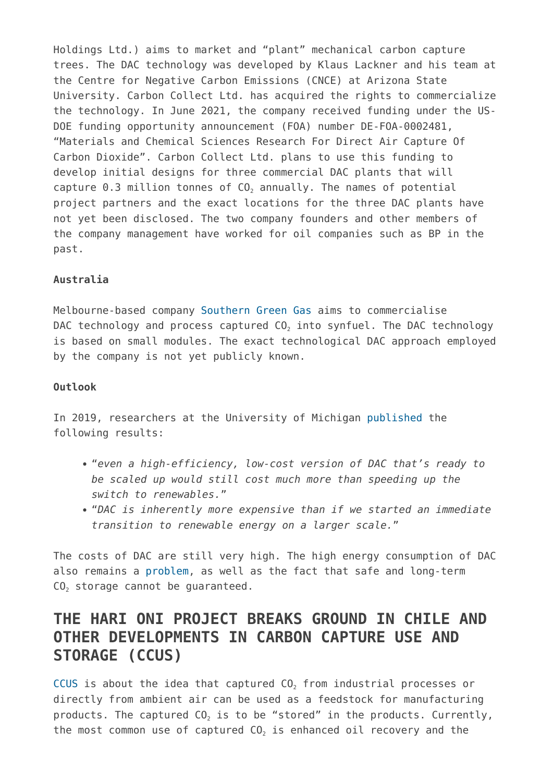Holdings Ltd.) aims to market and "plant" mechanical carbon capture trees. The DAC technology was developed by Klaus Lackner and his team at the Centre for Negative Carbon Emissions (CNCE) at Arizona State University. Carbon Collect Ltd. has acquired the rights to commercialize the technology. In June 2021, the company received funding under the US-DOE funding opportunity announcement (FOA) number DE-FOA-0002481, "Materials and Chemical Sciences Research For Direct Air Capture Of Carbon Dioxide". Carbon Collect Ltd. plans to use this funding to develop initial designs for three commercial DAC plants that will capture  $0.3$  million tonnes of  $CO<sub>2</sub>$  annually. The names of potential project partners and the exact locations for the three DAC plants have not yet been disclosed. The two company founders and other members of the company management have worked for oil companies such as BP in the past.

## **Australia**

Melbourne-based company [Southern Green Gas](https://map.geoengineeringmonitor.org/ggr/southern-green-gas) aims to commercialise DAC technology and process captured CO<sub>2</sub> into synfuel. The DAC technology is based on small modules. The exact technological DAC approach employed by the company is not yet publicly known.

## **Outlook**

In 2019, researchers at the University of Michigan [published](https://news.umich.edu/climate-change-why-removing-co2-from-the-air-wont-be-enough/) the following results:

- "*even a high-efficiency, low-cost version of DAC that's ready to be scaled up would still cost much more than speeding up the switch to renewables.*"
- "*DAC is inherently more expensive than if we started an immediate transition to renewable energy on a larger scale.*"

The costs of DAC are still very high. The high energy consumption of DAC also remains a [problem](https://www.geoengineeringmonitor.org/wp-content/uploads/2021/04/direct-air-capture.pdf), as well as the fact that safe and long-term CO<sub>2</sub> storage cannot be quaranteed.

## **THE HARI ONI PROJECT BREAKS GROUND IN CHILE AND OTHER DEVELOPMENTS IN CARBON CAPTURE USE AND STORAGE (CCUS)**

[CCUS i](https://www.geoengineeringmonitor.org/wp-content/uploads/2021/04/carbon-capture-use-and-storage.pdf)s about the idea that captured  $CO<sub>2</sub>$  from industrial processes or directly from ambient air can be used as a feedstock for manufacturing products. The captured  $CO<sub>2</sub>$  is to be "stored" in the products. Currently, the most common use of captured  $CO<sub>2</sub>$  is enhanced oil recovery and the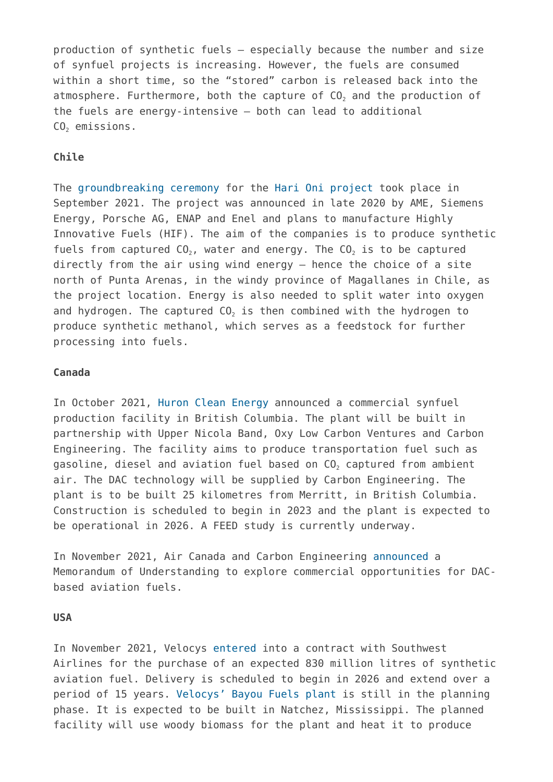production of synthetic fuels – especially because the number and size of synfuel projects is increasing. However, the fuels are consumed within a short time, so the "stored" carbon is released back into the atmosphere. Furthermore, both the capture of  $CO<sub>2</sub>$  and the production of the fuels are energy-intensive – both can lead to additional  $CO<sub>2</sub>$  emissions.

## **Chile**

The [groundbreaking ceremony](https://press.siemens-energy.com/global/de/pressemitteilung/baubeginn-fuer-weltweit-erste-integrierte-kommerzielle-anlage-zur-herstellung-co2) for the [Hari Oni project](https://map.geoengineeringmonitor.org/ggr/haru-oni-highly-innovative-fuels-project) took place in September 2021. The project was announced in late 2020 by AME, Siemens Energy, Porsche AG, ENAP and Enel and plans to manufacture Highly Innovative Fuels (HIF). The aim of the companies is to produce synthetic fuels from captured  $CO<sub>2</sub>$ , water and energy. The  $CO<sub>2</sub>$  is to be captured directly from the air using wind energy – hence the choice of a site north of Punta Arenas, in the windy province of Magallanes in Chile, as the project location. Energy is also needed to split water into oxygen and hydrogen. The captured  $CO<sub>2</sub>$  is then combined with the hydrogen to produce synthetic methanol, which serves as a feedstock for further processing into fuels.

#### **Canada**

In October 2021, [Huron Clean Energy](https://map.geoengineeringmonitor.org/ggr/huron-synfuel-plant) announced a commercial synfuel production facility in British Columbia. The plant will be built in partnership with Upper Nicola Band, Oxy Low Carbon Ventures and Carbon Engineering. The facility aims to produce transportation fuel such as gasoline, diesel and aviation fuel based on CO2 captured from ambient air. The DAC technology will be supplied by Carbon Engineering. The plant is to be built 25 kilometres from Merritt, in British Columbia. Construction is scheduled to begin in 2023 and the plant is expected to be operational in 2026. A FEED study is currently underway.

In November 2021, Air Canada and Carbon Engineering [announced](https://carbonengineering.com/news-updates/air-canada-ce-mou/) a Memorandum of Understanding to explore commercial opportunities for DACbased aviation fuels.

#### **USA**

In November 2021, Velocys [entered](https://www.bayoufuels.com/2021/11/saf-offtake-with-southwest-airlines/) into a contract with Southwest Airlines for the purchase of an expected 830 million litres of synthetic aviation fuel. Delivery is scheduled to begin in 2026 and extend over a period of 15 years. [Velocys' Bayou Fuels plant](https://map.geoengineeringmonitor.org/ggr/velocys-bayou-fuels-plant) is still in the planning phase. It is expected to be built in Natchez, Mississippi. The planned facility will use woody biomass for the plant and heat it to produce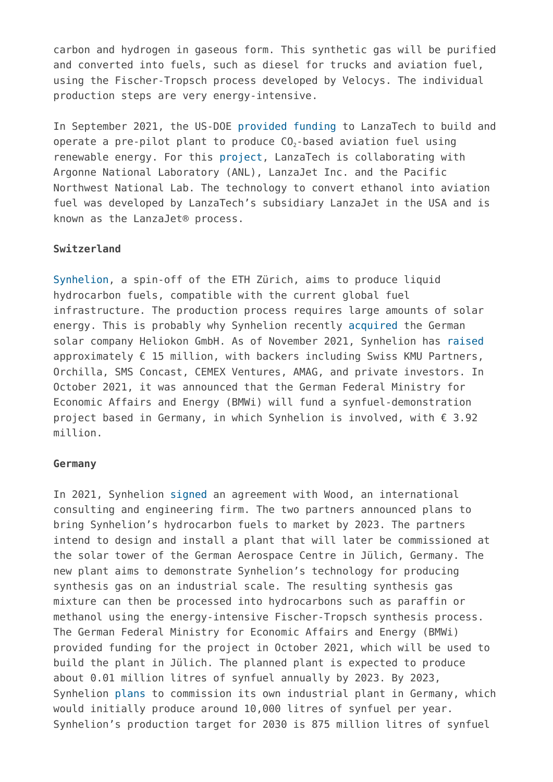carbon and hydrogen in gaseous form. This synthetic gas will be purified and converted into fuels, such as diesel for trucks and aviation fuel, using the Fischer-Tropsch process developed by Velocys. The individual production steps are very energy-intensive.

In September 2021, the US-DOE [provided funding](https://www.energy.gov/eere/bioenergy/articles/us-department-energy-announces-more-64-million-biofuels-research-reduce) to LanzaTech to build and operate a pre-pilot plant to produce  $CO<sub>2</sub>$ -based aviation fuel using renewable energy. For this [project,](https://map.geoengineeringmonitor.org/ggr/lanzatech-jet-fuel-plant) LanzaTech is collaborating with Argonne National Laboratory (ANL), LanzaJet Inc. and the Pacific Northwest National Lab. The technology to convert ethanol into aviation fuel was developed by LanzaTech's subsidiary LanzaJet in the USA and is known as the LanzaJet® process.

## **Switzerland**

[Synhelion](https://map.geoengineeringmonitor.org/ggr/synhelion-synfuels-), a spin-off of the ETH Zürich, aims to produce liquid hydrocarbon fuels, compatible with the current global fuel infrastructure. The production process requires large amounts of solar energy. This is probably why Synhelion recently [acquired](https://synhelion.com/news/synhelion-acquires-heliokon) the German solar company Heliokon GmbH. As of November 2021, Synhelion has [raised](https://synhelion.com/news/synhelion-raises-chf-16-million) approximately  $\epsilon$  15 million, with backers including Swiss KMU Partners, Orchilla, SMS Concast, CEMEX Ventures, AMAG, and private investors. In October 2021, it was announced that the German Federal Ministry for Economic Affairs and Energy (BMWi) will fund a synfuel-demonstration project based in Germany, in which Synhelion is involved, with € 3.92 million.

### **Germany**

In 2021, Synhelion [signed](https://map.geoengineeringmonitor.org/ggr/synhelion-demonstration-jülich) an agreement with Wood, an international consulting and engineering firm. The two partners announced plans to bring Synhelion's hydrocarbon fuels to market by 2023. The partners intend to design and install a plant that will later be commissioned at the solar tower of the German Aerospace Centre in Jülich, Germany. The new plant aims to demonstrate Synhelion's technology for producing synthesis gas on an industrial scale. The resulting synthesis gas mixture can then be processed into hydrocarbons such as paraffin or methanol using the energy-intensive Fischer-Tropsch synthesis process. The German Federal Ministry for Economic Affairs and Energy (BMWi) provided funding for the project in October 2021, which will be used to build the plant in Jülich. The planned plant is expected to produce about 0.01 million litres of synfuel annually by 2023. By 2023, Synhelion [plans](https://synhelion.com/news/synhelion-receives-funding-from-german-federal-ministry-for-economic-affairs-and-energy) to commission its own industrial plant in Germany, which would initially produce around 10,000 litres of synfuel per year. Synhelion's production target for 2030 is 875 million litres of synfuel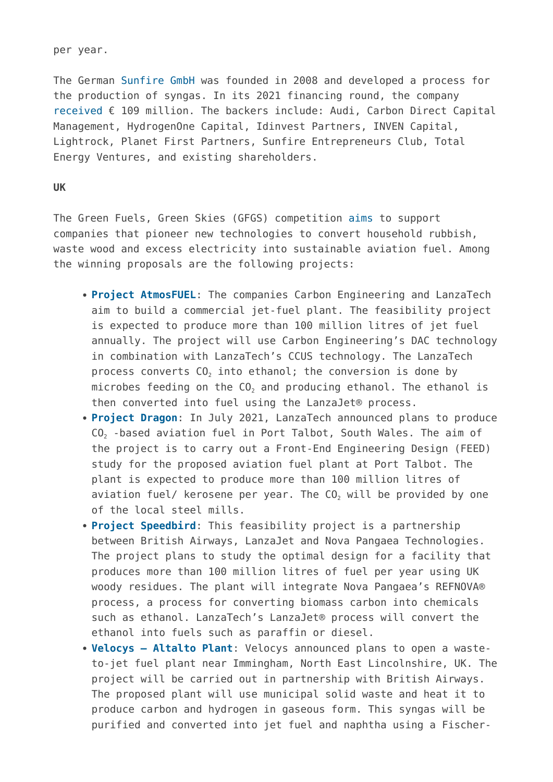per year.

The German [Sunfire GmbH](https://map.geoengineeringmonitor.org/ggr/sunfire-gmbh) was founded in 2008 and developed a process for the production of syngas. In its 2021 financing round, the company [received](https://www.sunfire.de/en/news/detail/sunfire-secures-landmark-investment-to-accelerate-growth-of-its-green-hydrogen-technologies) € 109 million. The backers include: Audi, Carbon Direct Capital Management, HydrogenOne Capital, Idinvest Partners, INVEN Capital, Lightrock, Planet First Partners, Sunfire Entrepreneurs Club, Total Energy Ventures, and existing shareholders.

#### **UK**

The Green Fuels, Green Skies (GFGS) competition [aims](https://www.gov.uk/government/publications/green-fuels-green-skies-gfgs-competition) to support companies that pioneer new technologies to convert household rubbish, waste wood and excess electricity into sustainable aviation fuel. Among the winning proposals are the following projects:

- **[Project AtmosFUEL](https://map.geoengineeringmonitor.org/ggr/project-atmosfuel-)**: The companies Carbon Engineering and LanzaTech aim to build a commercial jet-fuel plant. The feasibility project is expected to produce more than 100 million litres of jet fuel annually. The project will use Carbon Engineering's DAC technology in combination with LanzaTech's CCUS technology. The LanzaTech process converts  $CO<sub>2</sub>$  into ethanol; the conversion is done by microbes feeding on the  $CO<sub>2</sub>$  and producing ethanol. The ethanol is then converted into fuel using the LanzaJet® process.
- **[Project Dragon](https://map.geoengineeringmonitor.org/ggr/project-dragon)**: In July 2021, LanzaTech announced plans to produce CO<sub>2</sub> -based aviation fuel in Port Talbot, South Wales. The aim of the project is to carry out a Front-End Engineering Design (FEED) study for the proposed aviation fuel plant at Port Talbot. The plant is expected to produce more than 100 million litres of aviation fuel/ kerosene per year. The  $CO<sub>2</sub>$  will be provided by one of the local steel mills.
- **[Project Speedbird](https://map.geoengineeringmonitor.org/ggr/project-speedbird)**: This feasibility project is a partnership between British Airways, LanzaJet and Nova Pangaea Technologies. The project plans to study the optimal design for a facility that produces more than 100 million litres of fuel per year using UK woody residues. The plant will integrate Nova Pangaea's REFNOVA® process, a process for converting biomass carbon into chemicals such as ethanol. LanzaTech's LanzaJet® process will convert the ethanol into fuels such as paraffin or diesel.
- **[Velocys Altalto Plant](https://map.geoengineeringmonitor.org/ggr/velocys-altalto-plant)**: Velocys announced plans to open a wasteto-jet fuel plant near Immingham, North East Lincolnshire, UK. The project will be carried out in partnership with British Airways. The proposed plant will use municipal solid waste and heat it to produce carbon and hydrogen in gaseous form. This syngas will be purified and converted into jet fuel and naphtha using a Fischer-